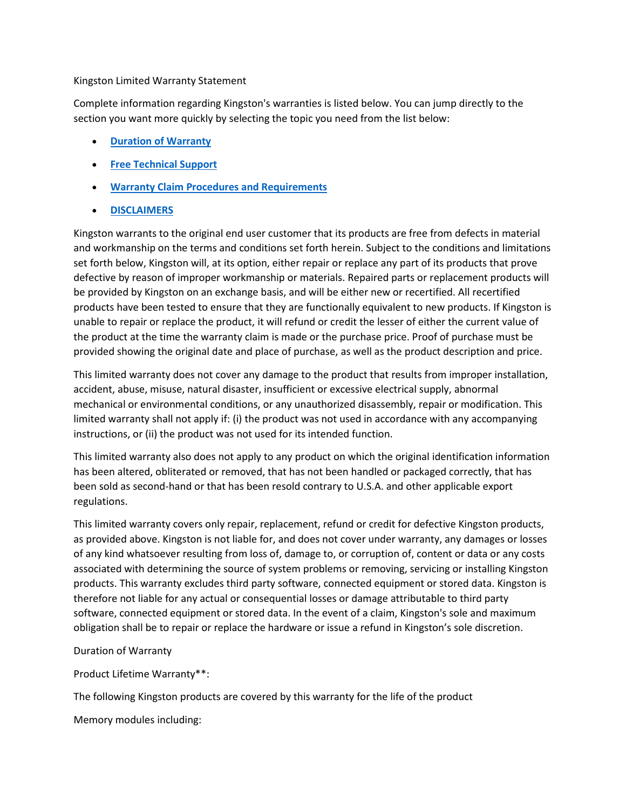### Kingston Limited Warranty Statement

Complete information regarding Kingston's warranties is listed below. You can jump directly to the section you want more quickly by selecting the topic you need from the list below:

- **[Duration of Warranty](https://www.kingston.com/en/company/warranty#duration)**
- **[Free Technical Support](https://www.kingston.com/en/company/warranty#free-tech-support)**
- **Warranty Claim [Procedures and Requirements](https://www.kingston.com/en/company/warranty#procedures)**
- **[DISCLAIMERS](https://www.kingston.com/en/company/warranty#disclaimers)**

Kingston warrants to the original end user customer that its products are free from defects in material and workmanship on the terms and conditions set forth herein. Subject to the conditions and limitations set forth below, Kingston will, at its option, either repair or replace any part of its products that prove defective by reason of improper workmanship or materials. Repaired parts or replacement products will be provided by Kingston on an exchange basis, and will be either new or recertified. All recertified products have been tested to ensure that they are functionally equivalent to new products. If Kingston is unable to repair or replace the product, it will refund or credit the lesser of either the current value of the product at the time the warranty claim is made or the purchase price. Proof of purchase must be provided showing the original date and place of purchase, as well as the product description and price.

This limited warranty does not cover any damage to the product that results from improper installation, accident, abuse, misuse, natural disaster, insufficient or excessive electrical supply, abnormal mechanical or environmental conditions, or any unauthorized disassembly, repair or modification. This limited warranty shall not apply if: (i) the product was not used in accordance with any accompanying instructions, or (ii) the product was not used for its intended function.

This limited warranty also does not apply to any product on which the original identification information has been altered, obliterated or removed, that has not been handled or packaged correctly, that has been sold as second-hand or that has been resold contrary to U.S.A. and other applicable export regulations.

This limited warranty covers only repair, replacement, refund or credit for defective Kingston products, as provided above. Kingston is not liable for, and does not cover under warranty, any damages or losses of any kind whatsoever resulting from loss of, damage to, or corruption of, content or data or any costs associated with determining the source of system problems or removing, servicing or installing Kingston products. This warranty excludes third party software, connected equipment or stored data. Kingston is therefore not liable for any actual or consequential losses or damage attributable to third party software, connected equipment or stored data. In the event of a claim, Kingston's sole and maximum obligation shall be to repair or replace the hardware or issue a refund in Kingston's sole discretion.

### Duration of Warranty

Product Lifetime Warranty\*\*:

The following Kingston products are covered by this warranty for the life of the product

Memory modules including: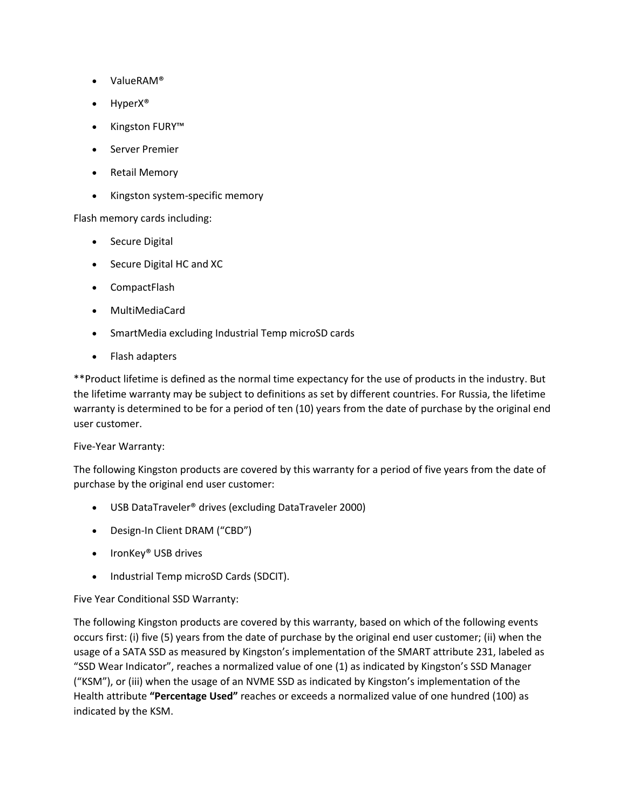- ValueRAM®
- HyperX<sup>®</sup>
- Kingston FURY™
- Server Premier
- Retail Memory
- Kingston system-specific memory

Flash memory cards including:

- Secure Digital
- Secure Digital HC and XC
- CompactFlash
- MultiMediaCard
- SmartMedia excluding Industrial Temp microSD cards
- Flash adapters

\*\*Product lifetime is defined as the normal time expectancy for the use of products in the industry. But the lifetime warranty may be subject to definitions as set by different countries. For Russia, the lifetime warranty is determined to be for a period of ten (10) years from the date of purchase by the original end user customer.

Five-Year Warranty:

The following Kingston products are covered by this warranty for a period of five years from the date of purchase by the original end user customer:

- USB DataTraveler® drives (excluding DataTraveler 2000)
- Design-In Client DRAM ("CBD")
- IronKey® USB drives
- Industrial Temp microSD Cards (SDCIT).

Five Year Conditional SSD Warranty:

The following Kingston products are covered by this warranty, based on which of the following events occurs first: (i) five (5) years from the date of purchase by the original end user customer; (ii) when the usage of a SATA SSD as measured by Kingston's implementation of the SMART attribute 231, labeled as "SSD Wear Indicator", reaches a normalized value of one (1) as indicated by Kingston's SSD Manager ("KSM"), or (iii) when the usage of an NVME SSD as indicated by Kingston's implementation of the Health attribute **"Percentage Used"** reaches or exceeds a normalized value of one hundred (100) as indicated by the KSM.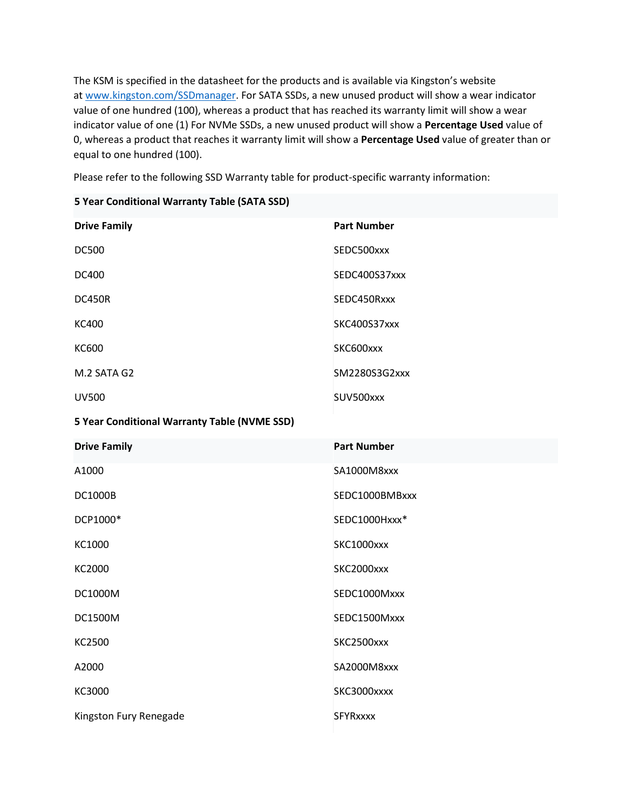The KSM is specified in the datasheet for the products and is available via Kingston's website at [www.kingston.com/SSDmanager.](https://www.kingston.com/SSDmanager) For SATA SSDs, a new unused product will show a wear indicator value of one hundred (100), whereas a product that has reached its warranty limit will show a wear indicator value of one (1) For NVMe SSDs, a new unused product will show a **Percentage Used** value of 0, whereas a product that reaches it warranty limit will show a **Percentage Used** value of greater than or equal to one hundred (100).

Please refer to the following SSD Warranty table for product-specific warranty information:

|  |  | 5 Year Conditional Warranty Table (SATA SSD) |  |  |  |
|--|--|----------------------------------------------|--|--|--|
|--|--|----------------------------------------------|--|--|--|

| <b>Drive Family</b>                          | <b>Part Number</b> |  |  |  |  |
|----------------------------------------------|--------------------|--|--|--|--|
| <b>DC500</b>                                 | SEDC500xxx         |  |  |  |  |
| <b>DC400</b>                                 | SEDC400S37xxx      |  |  |  |  |
| <b>DC450R</b>                                | SEDC450Rxxx        |  |  |  |  |
| <b>KC400</b>                                 | SKC400S37xxx       |  |  |  |  |
| <b>KC600</b>                                 | SKC600xxx          |  |  |  |  |
| M.2 SATA G2                                  | SM2280S3G2xxx      |  |  |  |  |
| <b>UV500</b>                                 | SUV500xxx          |  |  |  |  |
| 5 Year Conditional Warranty Table (NVME SSD) |                    |  |  |  |  |
| <b>Drive Family</b>                          | <b>Part Number</b> |  |  |  |  |
| A1000                                        | SA1000M8xxx        |  |  |  |  |
| <b>DC1000B</b>                               | SEDC1000BMBxxx     |  |  |  |  |
| DCP1000*                                     | SEDC1000Hxxx*      |  |  |  |  |
| KC1000                                       | SKC1000xxx         |  |  |  |  |
| KC2000                                       | SKC2000xxx         |  |  |  |  |
| DC1000M                                      | SEDC1000Mxxx       |  |  |  |  |
| <b>DC1500M</b>                               | SEDC1500Mxxx       |  |  |  |  |
| KC2500                                       | SKC2500xxx         |  |  |  |  |
| A2000                                        | SA2000M8xxx        |  |  |  |  |
| KC3000                                       | SKC3000xxxx        |  |  |  |  |
| Kingston Fury Renegade                       | <b>SFYRxxxx</b>    |  |  |  |  |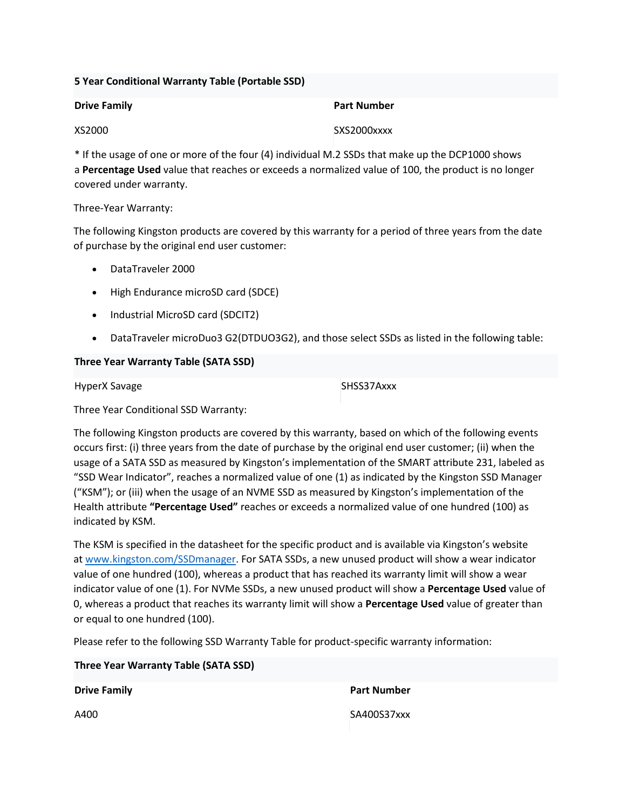## **5 Year Conditional Warranty Table (Portable SSD)**

| <b>Drive Family</b> | <b>Part Number</b> |
|---------------------|--------------------|
| XS2000              | SXS2000xxxx        |

\* If the usage of one or more of the four (4) individual M.2 SSDs that make up the DCP1000 shows a **Percentage Used** value that reaches or exceeds a normalized value of 100, the product is no longer covered under warranty.

## Three-Year Warranty:

The following Kingston products are covered by this warranty for a period of three years from the date of purchase by the original end user customer:

- DataTraveler 2000
- High Endurance microSD card (SDCE)
- Industrial MicroSD card (SDCIT2)
- DataTraveler microDuo3 G2(DTDUO3G2), and those select SSDs as listed in the following table:

# **Three Year Warranty Table (SATA SSD)**

HyperX Savage SHSS37Axxx

Three Year Conditional SSD Warranty:

The following Kingston products are covered by this warranty, based on which of the following events occurs first: (i) three years from the date of purchase by the original end user customer; (ii) when the usage of a SATA SSD as measured by Kingston's implementation of the SMART attribute 231, labeled as "SSD Wear Indicator", reaches a normalized value of one (1) as indicated by the Kingston SSD Manager ("KSM"); or (iii) when the usage of an NVME SSD as measured by Kingston's implementation of the Health attribute **"Percentage Used"** reaches or exceeds a normalized value of one hundred (100) as indicated by KSM.

The KSM is specified in the datasheet for the specific product and is available via Kingston's website at [www.kingston.com/SSDmanager.](https://www.kingston.com/SSDmanager) For SATA SSDs, a new unused product will show a wear indicator value of one hundred (100), whereas a product that has reached its warranty limit will show a wear indicator value of one (1). For NVMe SSDs, a new unused product will show a **Percentage Used** value of 0, whereas a product that reaches its warranty limit will show a **Percentage Used** value of greater than or equal to one hundred (100).

Please refer to the following SSD Warranty Table for product-specific warranty information:

**Three Year Warranty Table (SATA SSD)**

**Drive Family Part Number** 

A400 SA400S37xxx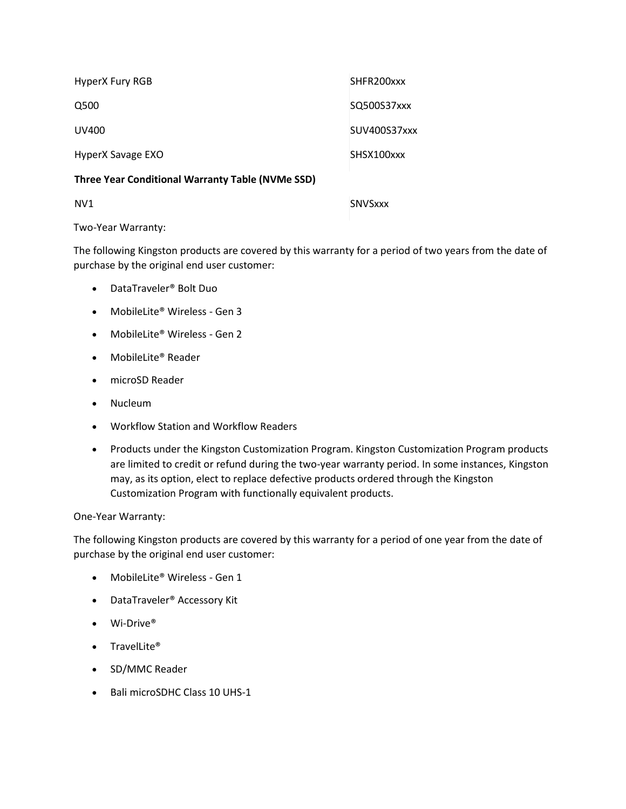| HyperX Fury RGB   | SHFR200xxx   |
|-------------------|--------------|
| Q500              | SQ500S37xxx  |
| UV400             | SUV400S37xxx |
| HyperX Savage EXO | SHSX100xxx   |

### **Three Year Conditional Warranty Table (NVMe SSD)**

NV1 SNVSxxx

Two-Year Warranty:

The following Kingston products are covered by this warranty for a period of two years from the date of purchase by the original end user customer:

- DataTraveler® Bolt Duo
- MobileLite® Wireless Gen 3
- MobileLite® Wireless Gen 2
- MobileLite® Reader
- microSD Reader
- Nucleum
- Workflow Station and Workflow Readers
- Products under the Kingston Customization Program. Kingston Customization Program products are limited to credit or refund during the two-year warranty period. In some instances, Kingston may, as its option, elect to replace defective products ordered through the Kingston Customization Program with functionally equivalent products.

### One-Year Warranty:

The following Kingston products are covered by this warranty for a period of one year from the date of purchase by the original end user customer:

- MobileLite® Wireless Gen 1
- DataTraveler® Accessory Kit
- Wi-Drive®
- TravelLite®
- SD/MMC Reader
- Bali microSDHC Class 10 UHS-1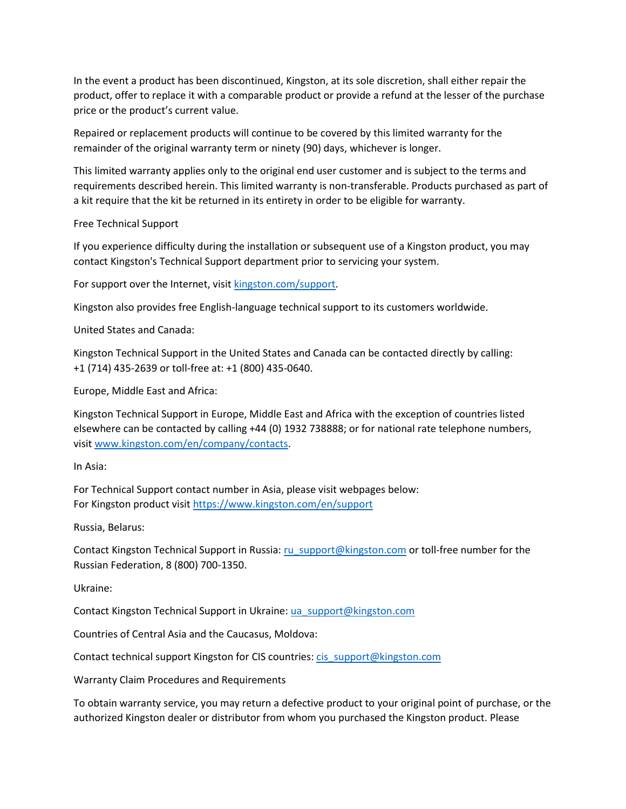In the event a product has been discontinued, Kingston, at its sole discretion, shall either repair the product, offer to replace it with a comparable product or provide a refund at the lesser of the purchase price or the product's current value.

Repaired or replacement products will continue to be covered by this limited warranty for the remainder of the original warranty term or ninety (90) days, whichever is longer.

This limited warranty applies only to the original end user customer and is subject to the terms and requirements described herein. This limited warranty is non-transferable. Products purchased as part of a kit require that the kit be returned in its entirety in order to be eligible for warranty.

Free Technical Support

If you experience difficulty during the installation or subsequent use of a Kingston product, you may contact Kingston's Technical Support department prior to servicing your system.

For support over the Internet, visit [kingston.com/support.](https://www.kingston.com/support)

Kingston also provides free English-language technical support to its customers worldwide.

United States and Canada:

Kingston Technical Support in the United States and Canada can be contacted directly by calling: +1 (714) 435-2639 or toll-free at: +1 (800) 435-0640.

Europe, Middle East and Africa:

Kingston Technical Support in Europe, Middle East and Africa with the exception of countries listed elsewhere can be contacted by calling +44 (0) 1932 738888; or for national rate telephone numbers, visit [www.kingston.com/en/company/contacts.](https://www.kingston.com/en/company/contacts)

In Asia:

For Technical Support contact number in Asia, please visit webpages below: For Kingston product visit <https://www.kingston.com/en/support>

Russia, Belarus:

Contact Kingston Technical Support in Russia: [ru\\_support@kingston.com](mailto:ru_support@kingston.com) or toll-free number for the Russian Federation, 8 (800) 700-1350.

Ukraine:

Contact Kingston Technical Support in Ukraine: [ua\\_support@kingston.com](mailto:ua_support@kingston.com)

Countries of Central Asia and the Caucasus, Moldova:

Contact technical support Kingston for CIS countries: [cis\\_support@kingston.com](mailto:cis_support@kingston.com)

Warranty Claim Procedures and Requirements

To obtain warranty service, you may return a defective product to your original point of purchase, or the authorized Kingston dealer or distributor from whom you purchased the Kingston product. Please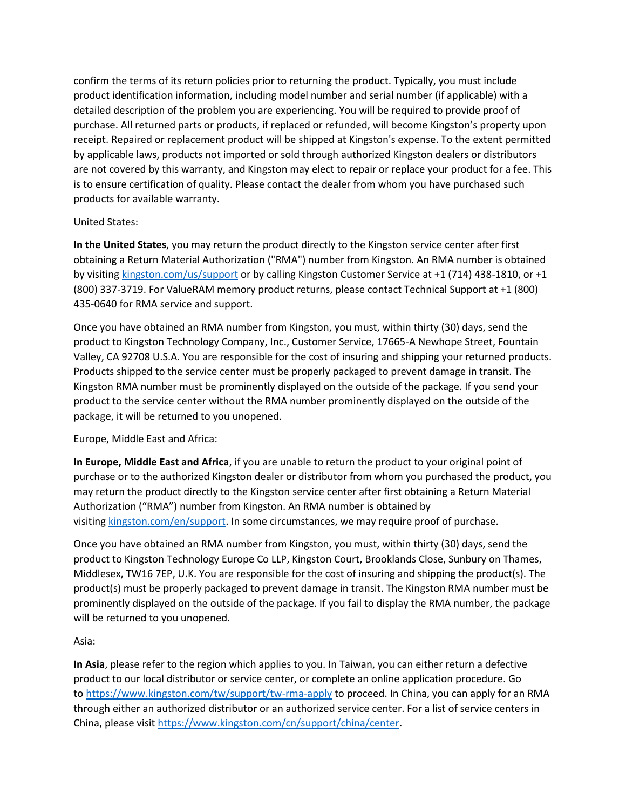confirm the terms of its return policies prior to returning the product. Typically, you must include product identification information, including model number and serial number (if applicable) with a detailed description of the problem you are experiencing. You will be required to provide proof of purchase. All returned parts or products, if replaced or refunded, will become Kingston's property upon receipt. Repaired or replacement product will be shipped at Kingston's expense. To the extent permitted by applicable laws, products not imported or sold through authorized Kingston dealers or distributors are not covered by this warranty, and Kingston may elect to repair or replace your product for a fee. This is to ensure certification of quality. Please contact the dealer from whom you have purchased such products for available warranty.

## United States:

**In the United States**, you may return the product directly to the Kingston service center after first obtaining a Return Material Authorization ("RMA") number from Kingston. An RMA number is obtained by visiting [kingston.com/us/support](https://www.kingston.com/us/support) or by calling Kingston Customer Service at +1 (714) 438-1810, or +1 (800) 337-3719. For ValueRAM memory product returns, please contact Technical Support at +1 (800) 435-0640 for RMA service and support.

Once you have obtained an RMA number from Kingston, you must, within thirty (30) days, send the product to Kingston Technology Company, Inc., Customer Service, 17665-A Newhope Street, Fountain Valley, CA 92708 U.S.A. You are responsible for the cost of insuring and shipping your returned products. Products shipped to the service center must be properly packaged to prevent damage in transit. The Kingston RMA number must be prominently displayed on the outside of the package. If you send your product to the service center without the RMA number prominently displayed on the outside of the package, it will be returned to you unopened.

### Europe, Middle East and Africa:

**In Europe, Middle East and Africa**, if you are unable to return the product to your original point of purchase or to the authorized Kingston dealer or distributor from whom you purchased the product, you may return the product directly to the Kingston service center after first obtaining a Return Material Authorization ("RMA") number from Kingston. An RMA number is obtained by visiting [kingston.com/en/support.](https://www.kingston.com/en/support) In some circumstances, we may require proof of purchase.

Once you have obtained an RMA number from Kingston, you must, within thirty (30) days, send the product to Kingston Technology Europe Co LLP, Kingston Court, Brooklands Close, Sunbury on Thames, Middlesex, TW16 7EP, U.K. You are responsible for the cost of insuring and shipping the product(s). The product(s) must be properly packaged to prevent damage in transit. The Kingston RMA number must be prominently displayed on the outside of the package. If you fail to display the RMA number, the package will be returned to you unopened.

### Asia:

**In Asia**, please refer to the region which applies to you. In Taiwan, you can either return a defective product to our local distributor or service center, or complete an online application procedure. Go to <https://www.kingston.com/tw/support/tw-rma-apply> to proceed. In China, you can apply for an RMA through either an authorized distributor or an authorized service center. For a list of service centers in China, please visit [https://www.kingston.com/cn/support/china/center.](https://www.kingston.com/cn/support/china/center)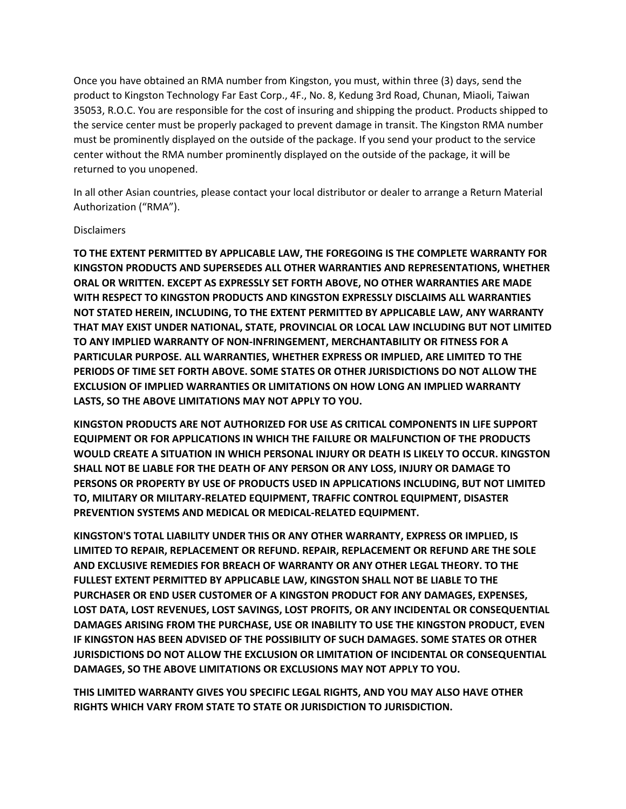Once you have obtained an RMA number from Kingston, you must, within three (3) days, send the product to Kingston Technology Far East Corp., 4F., No. 8, Kedung 3rd Road, Chunan, Miaoli, Taiwan 35053, R.O.C. You are responsible for the cost of insuring and shipping the product. Products shipped to the service center must be properly packaged to prevent damage in transit. The Kingston RMA number must be prominently displayed on the outside of the package. If you send your product to the service center without the RMA number prominently displayed on the outside of the package, it will be returned to you unopened.

In all other Asian countries, please contact your local distributor or dealer to arrange a Return Material Authorization ("RMA").

#### Disclaimers

**TO THE EXTENT PERMITTED BY APPLICABLE LAW, THE FOREGOING IS THE COMPLETE WARRANTY FOR KINGSTON PRODUCTS AND SUPERSEDES ALL OTHER WARRANTIES AND REPRESENTATIONS, WHETHER ORAL OR WRITTEN. EXCEPT AS EXPRESSLY SET FORTH ABOVE, NO OTHER WARRANTIES ARE MADE WITH RESPECT TO KINGSTON PRODUCTS AND KINGSTON EXPRESSLY DISCLAIMS ALL WARRANTIES NOT STATED HEREIN, INCLUDING, TO THE EXTENT PERMITTED BY APPLICABLE LAW, ANY WARRANTY THAT MAY EXIST UNDER NATIONAL, STATE, PROVINCIAL OR LOCAL LAW INCLUDING BUT NOT LIMITED TO ANY IMPLIED WARRANTY OF NON-INFRINGEMENT, MERCHANTABILITY OR FITNESS FOR A PARTICULAR PURPOSE. ALL WARRANTIES, WHETHER EXPRESS OR IMPLIED, ARE LIMITED TO THE PERIODS OF TIME SET FORTH ABOVE. SOME STATES OR OTHER JURISDICTIONS DO NOT ALLOW THE EXCLUSION OF IMPLIED WARRANTIES OR LIMITATIONS ON HOW LONG AN IMPLIED WARRANTY LASTS, SO THE ABOVE LIMITATIONS MAY NOT APPLY TO YOU.**

**KINGSTON PRODUCTS ARE NOT AUTHORIZED FOR USE AS CRITICAL COMPONENTS IN LIFE SUPPORT EQUIPMENT OR FOR APPLICATIONS IN WHICH THE FAILURE OR MALFUNCTION OF THE PRODUCTS WOULD CREATE A SITUATION IN WHICH PERSONAL INJURY OR DEATH IS LIKELY TO OCCUR. KINGSTON SHALL NOT BE LIABLE FOR THE DEATH OF ANY PERSON OR ANY LOSS, INJURY OR DAMAGE TO PERSONS OR PROPERTY BY USE OF PRODUCTS USED IN APPLICATIONS INCLUDING, BUT NOT LIMITED TO, MILITARY OR MILITARY-RELATED EQUIPMENT, TRAFFIC CONTROL EQUIPMENT, DISASTER PREVENTION SYSTEMS AND MEDICAL OR MEDICAL-RELATED EQUIPMENT.**

**KINGSTON'S TOTAL LIABILITY UNDER THIS OR ANY OTHER WARRANTY, EXPRESS OR IMPLIED, IS LIMITED TO REPAIR, REPLACEMENT OR REFUND. REPAIR, REPLACEMENT OR REFUND ARE THE SOLE AND EXCLUSIVE REMEDIES FOR BREACH OF WARRANTY OR ANY OTHER LEGAL THEORY. TO THE FULLEST EXTENT PERMITTED BY APPLICABLE LAW, KINGSTON SHALL NOT BE LIABLE TO THE PURCHASER OR END USER CUSTOMER OF A KINGSTON PRODUCT FOR ANY DAMAGES, EXPENSES, LOST DATA, LOST REVENUES, LOST SAVINGS, LOST PROFITS, OR ANY INCIDENTAL OR CONSEQUENTIAL DAMAGES ARISING FROM THE PURCHASE, USE OR INABILITY TO USE THE KINGSTON PRODUCT, EVEN IF KINGSTON HAS BEEN ADVISED OF THE POSSIBILITY OF SUCH DAMAGES. SOME STATES OR OTHER JURISDICTIONS DO NOT ALLOW THE EXCLUSION OR LIMITATION OF INCIDENTAL OR CONSEQUENTIAL DAMAGES, SO THE ABOVE LIMITATIONS OR EXCLUSIONS MAY NOT APPLY TO YOU.**

**THIS LIMITED WARRANTY GIVES YOU SPECIFIC LEGAL RIGHTS, AND YOU MAY ALSO HAVE OTHER RIGHTS WHICH VARY FROM STATE TO STATE OR JURISDICTION TO JURISDICTION.**